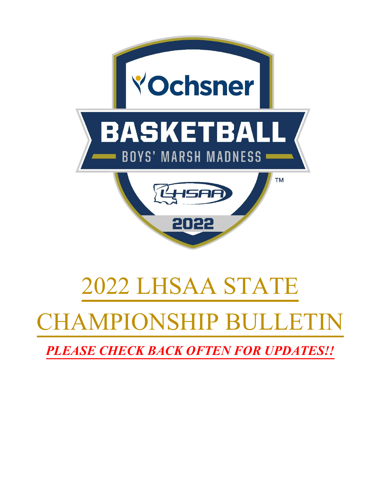

# 2022 LHSAA STATE

# AMPIONSHIP BULLET

*PLEASE CHECK BACK OFTEN FOR UPDATES!!*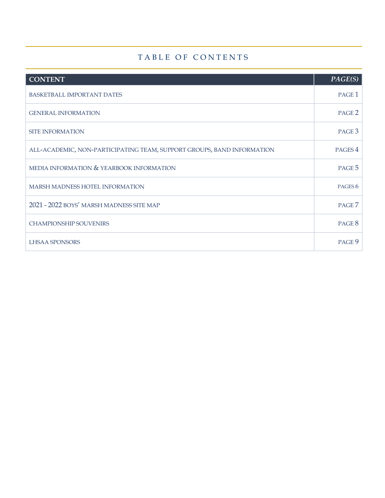# TABLE OF CONTENTS

| <b>CONTENT</b>                                                         | PAGE(S)            |
|------------------------------------------------------------------------|--------------------|
| <b>BASKETBALL IMPORTANT DATES</b>                                      | PAGE <sub>1</sub>  |
| <b>GENERAL INFORMATION</b>                                             | PAGE <sub>2</sub>  |
| <b>SITE INFORMATION</b>                                                | PAGE 3             |
| ALL-ACADEMIC, NON-PARTICIPATING TEAM, SUPPORT GROUPS, BAND INFORMATION | PAGES <sub>4</sub> |
| MEDIA INFORMATION & YEARBOOK INFORMATION                               | PAGE 5             |
| <b>MARSH MADNESS HOTEL INFORMATION</b>                                 | PAGES <sub>6</sub> |
| 2021 - 2022 BOYS' MARSH MADNESS SITE MAP                               | PAGE <sub>7</sub>  |
| <b>CHAMPIONSHIP SOUVENIRS</b>                                          | PAGE 8             |
| <b>LHSAA SPONSORS</b>                                                  | PAGE 9             |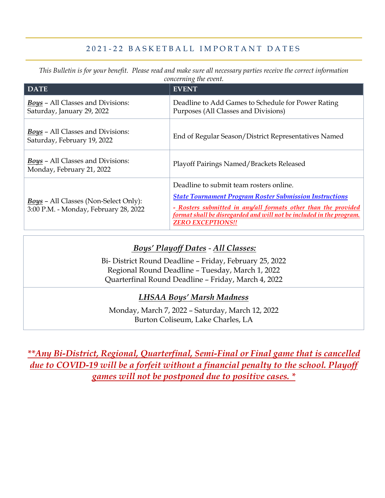### 202 1 - 2 2 BASKETBALL IMPORTANT DATES

*This Bulletin is for your benefit. Please read and make sure all necessary parties receive the correct information concerning the event.*

| <b>DATE</b>                                                                           | <b>EVENT</b>                                                                                                                                                                                                                                                                    |
|---------------------------------------------------------------------------------------|---------------------------------------------------------------------------------------------------------------------------------------------------------------------------------------------------------------------------------------------------------------------------------|
| <b>Boys - All Classes and Divisions:</b><br>Saturday, January 29, 2022                | Deadline to Add Games to Schedule for Power Rating<br>Purposes (All Classes and Divisions)                                                                                                                                                                                      |
| <b>Boys</b> – All Classes and Divisions:<br>Saturday, February 19, 2022               | End of Regular Season/District Representatives Named                                                                                                                                                                                                                            |
| <b>Boys</b> – All Classes and Divisions:<br>Monday, February 21, 2022                 | Playoff Pairings Named/Brackets Released                                                                                                                                                                                                                                        |
| <b>Boys</b> - All Classes (Non-Select Only):<br>3:00 P.M. - Monday, February 28, 2022 | Deadline to submit team rosters online.<br><b>State Tournament Program Roster Submission Instructions</b><br>- Rosters submitted in any/all formats other than the provided<br>format shall be disregarded and will not be included in the program.<br><b>ZERO EXCEPTIONS!!</b> |

## *Boys' Playoff Dates* - *All Classes:*

Bi- District Round Deadline – Friday, February 25, 2022 Regional Round Deadline – Tuesday, March 1, 2022 Quarterfinal Round Deadline – Friday, March 4, 2022

#### *LHSAA Boys' Marsh Madness*

Monday, March 7, 2022 – Saturday, March 12, 2022 Burton Coliseum, Lake Charles, LA

*\*\*Any Bi-District, Regional, Quarterfinal, Semi-Final or Final game that is cancelled due to COVID-19 will be a forfeit without a financial penalty to the school. Playoff games will not be postponed due to positive cases. \**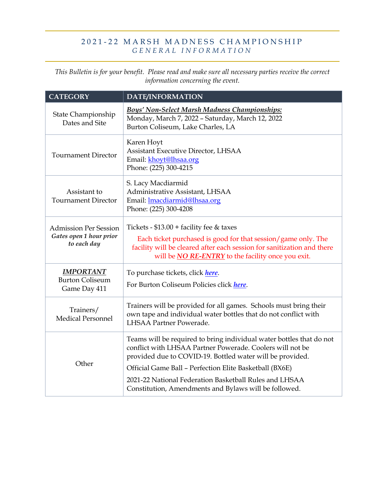#### 202 1 - 2 2 MARSH MADNESS CHAMPIONSHIP *GENERAL INFORMATION*

*This Bulletin is for your benefit. Please read and make sure all necessary parties receive the correct information concerning the event.*

| <b>CATEGORY</b>                                                        | DATE/INFORMATION                                                                                                                                                                                                                                                                                                                                                             |
|------------------------------------------------------------------------|------------------------------------------------------------------------------------------------------------------------------------------------------------------------------------------------------------------------------------------------------------------------------------------------------------------------------------------------------------------------------|
| State Championship<br>Dates and Site                                   | <b>Boys' Non-Select Marsh Madness Championships:</b><br>Monday, March 7, 2022 - Saturday, March 12, 2022<br>Burton Coliseum, Lake Charles, LA                                                                                                                                                                                                                                |
| <b>Tournament Director</b>                                             | Karen Hoyt<br><b>Assistant Executive Director, LHSAA</b><br>Email: khoyt@lhsaa.org<br>Phone: (225) 300-4215                                                                                                                                                                                                                                                                  |
| Assistant to<br><b>Tournament Director</b>                             | S. Lacy Macdiarmid<br>Administrative Assistant, LHSAA<br>Email: <b>Imacdiarmid@lhsaa.org</b><br>Phone: (225) 300-4208                                                                                                                                                                                                                                                        |
| <b>Admission Per Session</b><br>Gates open 1 hour prior<br>to each day | Tickets - $$13.00 + facility$ fee & taxes<br>Each ticket purchased is good for that session/game only. The<br>facility will be cleared after each session for sanitization and there<br>will be <b>NO RE-ENTRY</b> to the facility once you exit.                                                                                                                            |
| <b>IMPORTANT</b><br><b>Burton Coliseum</b><br>Game Day 411             | To purchase tickets, click here.<br>For Burton Coliseum Policies click here.                                                                                                                                                                                                                                                                                                 |
| Trainers/<br><b>Medical Personnel</b>                                  | Trainers will be provided for all games. Schools must bring their<br>own tape and individual water bottles that do not conflict with<br>LHSAA Partner Powerade.                                                                                                                                                                                                              |
| Other                                                                  | Teams will be required to bring individual water bottles that do not<br>conflict with LHSAA Partner Powerade. Coolers will not be<br>provided due to COVID-19. Bottled water will be provided.<br>Official Game Ball - Perfection Elite Basketball (BX6E)<br>2021-22 National Federation Basketball Rules and LHSAA<br>Constitution, Amendments and Bylaws will be followed. |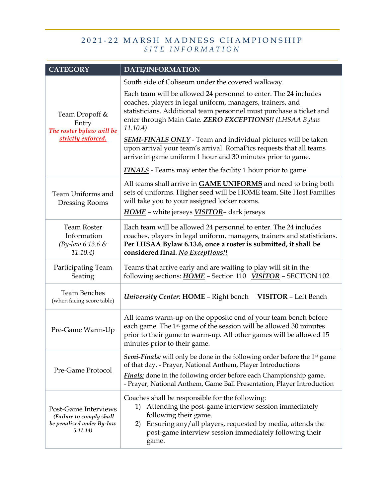#### 202 1 - 2 2 MARSH MADNESS CHAMPIONSHIP *SITE INFORMATION*

| <b>CATEGORY</b>                                                                           | DATE/INFORMATION                                                                                                                                                                                                                                                                                                    |  |
|-------------------------------------------------------------------------------------------|---------------------------------------------------------------------------------------------------------------------------------------------------------------------------------------------------------------------------------------------------------------------------------------------------------------------|--|
|                                                                                           | South side of Coliseum under the covered walkway.                                                                                                                                                                                                                                                                   |  |
| Team Dropoff &<br>Entry<br>The roster bylaw will be                                       | Each team will be allowed 24 personnel to enter. The 24 includes<br>coaches, players in legal uniform, managers, trainers, and<br>statisticians. Additional team personnel must purchase a ticket and<br>enter through Main Gate. <b>ZERO EXCEPTIONS!!</b> (LHSAA Bylaw<br>11.10.4)                                 |  |
| strictly enforced.                                                                        | <b>SEMI-FINALS ONLY</b> - Team and individual pictures will be taken                                                                                                                                                                                                                                                |  |
|                                                                                           | upon arrival your team's arrival. RomaPics requests that all teams<br>arrive in game uniform 1 hour and 30 minutes prior to game.                                                                                                                                                                                   |  |
|                                                                                           | <b>FINALS</b> - Teams may enter the facility 1 hour prior to game.                                                                                                                                                                                                                                                  |  |
| Team Uniforms and<br>Dressing Rooms                                                       | All teams shall arrive in <b>GAME UNIFORMS</b> and need to bring both<br>sets of uniforms. Higher seed will be HOME team. Site Host Families<br>will take you to your assigned locker rooms.                                                                                                                        |  |
|                                                                                           | <b>HOME</b> - white jerseys <b>VISITOR</b> - dark jerseys                                                                                                                                                                                                                                                           |  |
| <b>Team Roster</b><br>Information<br>(By-law $6.13.6 \&$<br>11.10.4)                      | Each team will be allowed 24 personnel to enter. The 24 includes<br>coaches, players in legal uniform, managers, trainers and statisticians.<br>Per LHSAA Bylaw 6.13.6, once a roster is submitted, it shall be<br>considered final. No Exceptions!!                                                                |  |
| Participating Team<br>Seating                                                             | Teams that arrive early and are waiting to play will sit in the<br>following sections: <b>HOME</b> - Section 110 <b>VISITOR</b> - SECTION 102                                                                                                                                                                       |  |
| <b>Team Benches</b><br>(when facing score table)                                          | <b>University Center: HOME - Right bench</b> VISITOR - Left Bench                                                                                                                                                                                                                                                   |  |
| Pre-Game Warm-Up                                                                          | All teams warm-up on the opposite end of your team bench before<br>each game. The 1 <sup>st</sup> game of the session will be allowed 30 minutes<br>prior to their game to warm-up. All other games will be allowed 15<br>minutes prior to their game.                                                              |  |
| Pre-Game Protocol                                                                         | <b>Semi-Finals:</b> will only be done in the following order before the 1 <sup>st</sup> game<br>of that day. - Prayer, National Anthem, Player Introductions<br><b>Finals:</b> done in the following order before each Championship game.<br>- Prayer, National Anthem, Game Ball Presentation, Player Introduction |  |
| Post-Game Interviews<br>(Failure to comply shall<br>be penalized under By-law<br>5.11.14) | Coaches shall be responsible for the following:<br>Attending the post-game interview session immediately<br>1)<br>following their game.<br>Ensuring any/all players, requested by media, attends the<br>2)<br>post-game interview session immediately following their<br>game.                                      |  |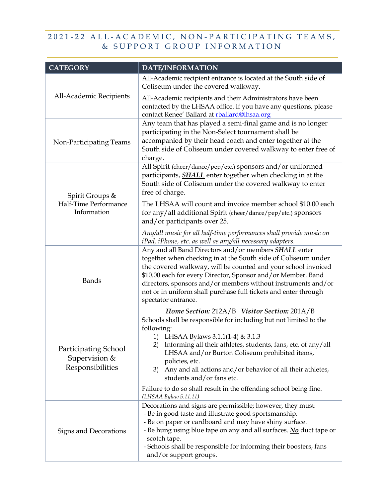## 2021 - 22 ALL - ACADEMIC, NON - PARTICIPATING TEAMS, & SUPPORT GROUP INFORMATION

| <b>CATEGORY</b>                                           | DATE/INFORMATION                                                                                                                                                                                                                                                                                                                                                                                                          |
|-----------------------------------------------------------|---------------------------------------------------------------------------------------------------------------------------------------------------------------------------------------------------------------------------------------------------------------------------------------------------------------------------------------------------------------------------------------------------------------------------|
|                                                           | All-Academic recipient entrance is located at the South side of<br>Coliseum under the covered walkway.                                                                                                                                                                                                                                                                                                                    |
| All-Academic Recipients                                   | All-Academic recipients and their Administrators have been<br>contacted by the LHSAA office. If you have any questions, please<br>contact Renee' Ballard at rballard@lhsaa.org                                                                                                                                                                                                                                            |
| Non-Participating Teams                                   | Any team that has played a semi-final game and is no longer<br>participating in the Non-Select tournament shall be<br>accompanied by their head coach and enter together at the<br>South side of Coliseum under covered walkway to enter free of<br>charge.                                                                                                                                                               |
| Spirit Groups &<br>Half-Time Performance<br>Information   | All Spirit (cheer/dance/pep/etc.) sponsors and/or uniformed<br>participants, <b>SHALL</b> enter together when checking in at the<br>South side of Coliseum under the covered walkway to enter<br>free of charge.                                                                                                                                                                                                          |
|                                                           | The LHSAA will count and invoice member school \$10.00 each<br>for any/all additional Spirit (cheer/dance/pep/etc.) sponsors<br>and/or participants over 25.                                                                                                                                                                                                                                                              |
|                                                           | Any/all music for all half-time performances shall provide music on<br>iPad, iPhone, etc. as well as any/all necessary adapters.                                                                                                                                                                                                                                                                                          |
| <b>Bands</b>                                              | Any and all Band Directors and/or members <b>SHALL</b> enter<br>together when checking in at the South side of Coliseum under<br>the covered walkway, will be counted and your school invoiced<br>\$10.00 each for every Director, Sponsor and/or Member. Band<br>directors, sponsors and/or members without instruments and/or<br>not or in uniform shall purchase full tickets and enter through<br>spectator entrance. |
|                                                           | Home Section: 212A/B Visitor Section: 201A/B                                                                                                                                                                                                                                                                                                                                                                              |
| Participating School<br>Supervision &<br>Responsibilities | Schools shall be responsible for including but not limited to the<br>following:<br>1) LHSAA Bylaws 3.1.1(1-4) & 3.1.3<br>2) Informing all their athletes, students, fans, etc. of any/all<br>LHSAA and/or Burton Coliseum prohibited items,<br>policies, etc.<br>Any and all actions and/or behavior of all their athletes,<br>3)<br>students and/or fans etc.                                                            |
|                                                           | Failure to do so shall result in the offending school being fine.<br>(LHSAA Bylaw 5.11.11)                                                                                                                                                                                                                                                                                                                                |
| Signs and Decorations                                     | Decorations and signs are permissible; however, they must:<br>- Be in good taste and illustrate good sportsmanship.<br>- Be on paper or cardboard and may have shiny surface.<br>- Be hung using blue tape on any and all surfaces. No duct tape or<br>scotch tape.<br>- Schools shall be responsible for informing their boosters, fans<br>and/or support groups.                                                        |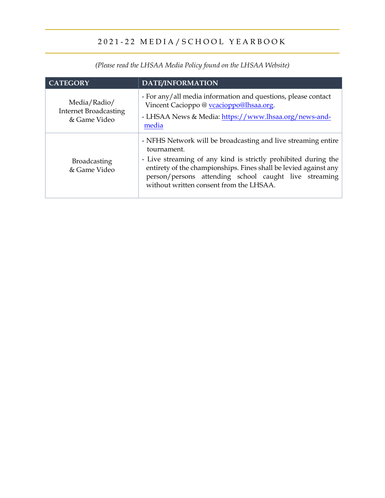# 2021 - 22 MEDIA/SCHOOL YEARBOOK

| <b>CATEGORY</b>                                              | <b>DATE/INFORMATION</b>                                                                                                                                                                                                                                                                                                |
|--------------------------------------------------------------|------------------------------------------------------------------------------------------------------------------------------------------------------------------------------------------------------------------------------------------------------------------------------------------------------------------------|
| Media/Radio/<br><b>Internet Broadcasting</b><br>& Game Video | - For any/all media information and questions, please contact<br>Vincent Cacioppo @ vcacioppo@lhsaa.org.<br>- LHSAA News & Media: https://www.lhsaa.org/news-and-<br>media                                                                                                                                             |
| <b>Broadcasting</b><br>& Game Video                          | - NFHS Network will be broadcasting and live streaming entire<br>tournament.<br>- Live streaming of any kind is strictly prohibited during the<br>entirety of the championships. Fines shall be levied against any<br>person/persons attending school caught live streaming<br>without written consent from the LHSAA. |

*(Please read the LHSAA Media Policy found on the LHSAA Website)*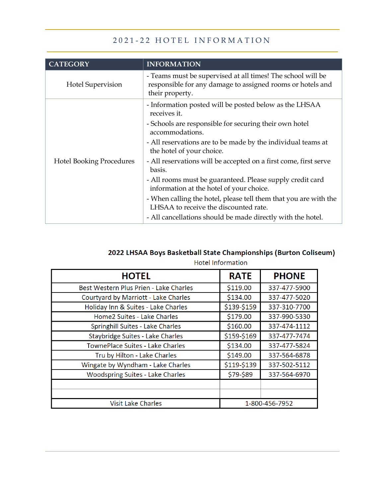# 2 0 2 1 - 2 2 HOTEL INFORMATION

| <b>CATEGORY</b>                 | <b>INFORMATION</b>                                                                                                                           |
|---------------------------------|----------------------------------------------------------------------------------------------------------------------------------------------|
| <b>Hotel Supervision</b>        | - Teams must be supervised at all times! The school will be<br>responsible for any damage to assigned rooms or hotels and<br>their property. |
| <b>Hotel Booking Procedures</b> | - Information posted will be posted below as the LHSAA<br>receives it.                                                                       |
|                                 | - Schools are responsible for securing their own hotel<br>accommodations.                                                                    |
|                                 | - All reservations are to be made by the individual teams at<br>the hotel of your choice.                                                    |
|                                 | - All reservations will be accepted on a first come, first serve<br>basis.                                                                   |
|                                 | - All rooms must be guaranteed. Please supply credit card<br>information at the hotel of your choice.                                        |
|                                 | - When calling the hotel, please tell them that you are with the<br>LHSAA to receive the discounted rate.                                    |
|                                 | - All cancellations should be made directly with the hotel.                                                                                  |

#### 2022 LHSAA Boys Basketball State Championships (Burton Coliseum) Hotel Information

| <b>HOTEL</b>                           | <b>RATE</b>    | <b>PHONE</b> |
|----------------------------------------|----------------|--------------|
| Best Western Plus Prien - Lake Charles | \$119.00       | 337-477-5900 |
| Courtyard by Marriott - Lake Charles   | \$134.00       | 337-477-5020 |
| Holiday Inn & Suites - Lake Charles    | \$139-\$159    | 337-310-7700 |
| Home2 Suites - Lake Charles            | \$179.00       | 337-990-5330 |
| Springhill Suites - Lake Charles       | \$160.00       | 337-474-1112 |
| Staybridge Suites - Lake Charles       | \$159-\$169    | 337-477-7474 |
| TownePlace Suites - Lake Charles       | \$134.00       | 337-477-5824 |
| Tru by Hilton - Lake Charles           | \$149.00       | 337-564-6878 |
| Wingate by Wyndham - Lake Charles      | \$119-\$139    | 337-502-5112 |
| Woodspring Suites - Lake Charles       | \$79-\$89      | 337-564-6970 |
|                                        |                |              |
|                                        |                |              |
| <b>Visit Lake Charles</b>              | 1-800-456-7952 |              |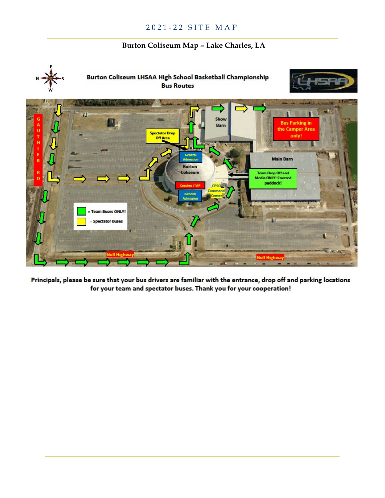#### **Burton Coliseum Map – Lake Charles, LA**



Principals, please be sure that your bus drivers are familiar with the entrance, drop off and parking locations for your team and spectator buses. Thank you for your cooperation!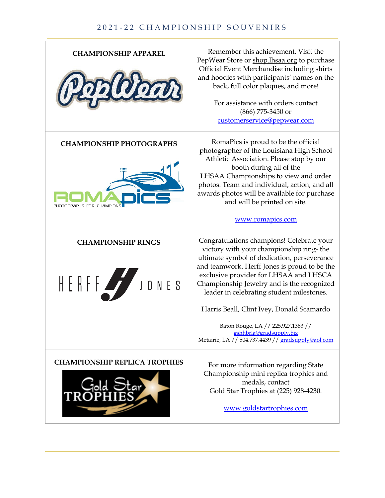